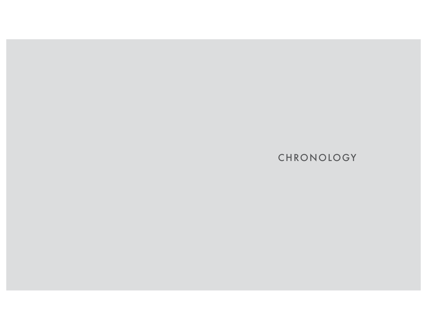**CHRONOLOGY**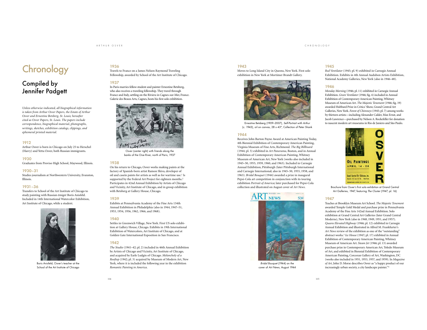### CHRONOLOGY

# **Chronology**

# Compiled by Jennifer Padgett

*Unless otherwise indicated, all biographical information is taken from Arthur Osver Papers, the Estate of Arthur Osver and Ernestine Betsberg, St. Louis; hereafter cited as Osver Papers, St. Louis. The papers include correspondence, biographical material, photographs, writings, sketches, exhibition catalogs, clippings, and ephemeral printed material.*

# 1912

Arthur Osver is born in Chicago on July 25 to Herschel (Harry) and Yetta Osver, both Russian immigrants.

#### 1930

Graduates from Proviso High School, Maywood, Illinois.

#### 1930–31

Studies journalism at Northwestern University, Evanston, Illinois.

# 1931–36

Transfers to School of the Art Institute of Chicago to study painting with Russian émigré Boris Anisfeld. Included in 14th International Watercolor Exhibition, Art Institute of Chicago, while a student.



Boris Anisfeld, Osver's teacher at the School of the Art Institute of Chicago

# 1936

Travels to France on a James Nelson Raymond Traveling Fellowship, awarded by School of the Art Institute of Chicago.

# 1937

In Paris marries fellow student and painter Ernestine Betsberg, who also receives a traveling fellowship. They travel through France and Italy, settling on the Riviera in Cagnes-sur-Mer, France. Galerie des Beaux Arts, Cagnes, hosts his first solo exhibition.



Osver (center right) with friends along the banks of the Oise River, north of Paris, 1937

#### 1938

On his return to Chicago, Osver works making paints at the factory of Spanish-born artist Ramon Shiva, developer of oil and casein paints for artists as well as for wartime use.<sup>1</sup> Is supported by the Federal Art Project for eighteen months.<sup>2</sup> Participates in 42nd Annual Exhibition by Artists of Chicago and Vicinity, Art Institute of Chicago, and in group exhibition with Betsberg at Gallery House, Chicago.

#### 1939

Exhibits at Pennsylvania Academy of the Fine Arts 134th Annual Exhibition in Philadelphia (also in 1944, 1947–51, 1953, 1954, 1956, 1962, 1966, and 1968).

#### 1940

Settles in Greenwich Village, New York. First US solo exhibition at Gallery House, Chicago. Exhibits in 19th International Exhibition of Watercolors, Art Institute of Chicago, and at Golden Gate International Exposition in San Francisco.

#### 1942

*The Studio* (1941–42; pl. 2) included in 46th Annual Exhibition by Artists of Chicago and Vicinity, Art Institute of Chicago, and acquired by Earle Ludgin of Chicago. *Melancholy of a Rooftop* (1942; pl. 3) acquired by Museum of Modern Art, New York, where it is included the following year in the exhibition *Romantic Painting in America*.

#### 1943

Moves to Long Island City in Queens, New York. First solo exhibition in New York at Mortimer Brandt Gallery.



Ernestine Betsberg (1909–2007), *Self-Portrait with Arthur* (c. 1943), oil on canvas, 28 x 43", Collection of Peter Shank

#### 1944

Receives John Barton Payne Award at American Painting Today, 4th Biennial Exhibition of Contemporary American Painting, Virginia Museum of Fine Arts, Richmond. *The Big Billboard* (1944; pl. 5) exhibited in *Art Panorama*, Boston, and in Annual Exhibition of Contemporary American Painting, Whitney Museum of American Art, New York (works also included in 1945–50, 1955, 1959, 1960, and 1963). Included in Carnegie Annual Exhibition, Pittsburgh (later Pittsburgh International and Carnegie International; also in 1945–50, 1955, 1958, and 1963). *Bridal Bouquet* (1944) awarded a prize in inaugural Pepsi-Cola art competition in conjunction with its touring exhibition *Portrait of America*; later purchased for Pepsi-Cola collection and illustrated on August cover of *Art News*.



*Bridal Bouquet* (1944) on the cover of *Art News*, August 1944

#### 1945

*Red Ventilator* (1945; pl. 9) exhibited in Carnegie Annual Exhibition. Exhibits in 4th Annual Audubon Artists Exhibition, National Academy Galleries, New York (also in 1946–48).

#### 1946

*Monday Morning* (1946; pl. 11) exhibited in Carnegie Annual Exhibition. *Green Ventilator* (1946; fig. 4) included in Annual Exhibition of Contemporary American Painting, Whitney Museum of American Art. *The Majestic Tenement* (1946; fig. 19) awarded Hubbard Prize in Critics' Show, Grand Central Art Galleries, New York. *Forest of Chimneys* (1945; pl. 7) among works by thirteen artists—including Alexander Calder, Max Ernst, and Jacob Lawrence—purchased by Nelson A. Rockefeller for donation to nascent modern art museums in Rio de Janiero and São Paulo.



Brochure from Osver's first solo exhibition at Grand Central Art Galleries, 1947, featuring *The Cluster* (1947; pl. 16)

#### 1947

Teaches at Brooklyn Museum Art School. *The Majestic Tenement* awarded Temple Gold Medal and purchase prize in Pennsylvania Academy of the Fine Arts 142nd Annual Exhibition. Solo exhibition at Grand Central Art Galleries (later Grand Central Moderns), New York (also in 1948, 1949, 1951, and 1957). *Queens Elevated Highway* (1946; pl. 12) exhibited in Carnegie Annual Exhibition and illustrated in Alfred M. Frankfurter's *Art News* review of the exhibition as one of the "outstanding" abstract works.3 *Ice House* (1947; pl. 17) exhibited in Annual Exhibition of Contemporary American Painting, Whitney Museum of American Art. *Steam Jet* (1946; pl. 13) awarded purchase prize in Contemporary American Art, Toledo Museum of Art, and exhibited in Biennial Exhibition of Contemporary American Painting, Corcoran Gallery of Art, Washington, DC (works also included in 1951, 1953, 1957, and 1959). In *Magazine of Art*, John D. Morse describes Osver as "a happy product of our increasingly urban society, a city landscape painter."4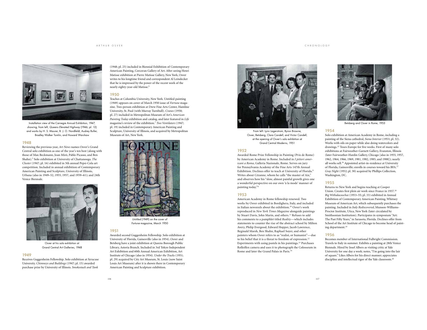#### ARTHUR OSVER



Installation view of the Carnegie Annual Exhibition, 1947, showing, from left, *Queens Elevated Highway* (1946; pl. 12) and works by H. S. Maurer, B. J. O. Nordfeldt, Audrey Buller, Bradley Walker Tomlin, and Howard Warshaw

## 1948

Reviewing the previous year, *Art News* names Osver's Grand Central solo exhibition as one of the year's ten best (along with those of Max Beckmann, Joan Miró, Pablo Picasso, and Ben Shahn).5 Solo exhibition at University of Chattanooga. *The Cluster* (1947; pl. 16) exhibited in 5th annual Pepsi-Cola art competition. Included in annual exhibition of Contemporary American Painting and Sculpture, University of Illinois, Urbana (also in 1949–52, 1955, 1957, and 1959–61); and 24th Venice Biennale.



Osver at his solo exhibition at Grand Central Art Galleries, 1948

#### 1949

Receives Guggenheim Fellowship. Solo exhibition at Syracuse University. *Chimneys and Buildings* (1947; pl. 15) awarded purchase prize by University of Illinois. *Smokestack and Tank*

(1948; pl. 25) included in Biennial Exhibition of Contemporary American Painting, Corcoran Gallery of Art. After seeing Henri Matisse exhibition at Pierre Matisse Gallery, New York, Osver writes to his longtime friend and correspondent Al Leindecker that he is impressed by the power of the recent work of the nearly eighty-year-old Matisse.6

#### 1950

Teaches at Columbia University, New York. Untitled painting (1949) appears on cover of March 1950 issue of *Fortune* magazine. Two-person exhibition at Drew Fine Arts Center, Hamline University, St. Paul (with Murray Turnbull). *Cranes* (1950; pl. 27) included in Metropolitan Museum of Art's *American Painting Today* exhibition and catalog, and later featured in *Life* magazine's review of the exhibition.7 *Two Ventilators* (1947; pl. 19) included in Contemporary American Painting and Sculpture, University of Illinois, and acquired by Metropolitan Museum of Art, New York.



*Fortune* magazine, March 1950

# 1951

Awarded second Guggenheim Fellowship. Solo exhibition at University of Florida, Gainesville (also in 1954). Osver and Betsberg have a joint exhibition at Queens Borough Public Library, Astoria Branch. Included in 3rd Tokyo Independent Art Exhibition and 60th Annual American Exhibition, Art Institute of Chicago (also in 1954). *Under the Tracks* (1951; pl. 29) acquired by City Art Museum, St. Louis (now Saint Louis Art Museum) after it is shown there in Contemporary American Painting and Sculpture exhibition.



From left: Lynn Lagerstrom, Byron Browne, Osver, Betsberg, Clara Candell, and Victor Candell, at the opening of Osver's solo exhibition at Grand Central Moderns, 1951

#### 1952

Awarded Rome Prize Fellowship in Painting (Prix de Rome) by American Academy in Rome. Included in *I pittori americani a Roma*, Galleria Nazionale, Rome. Serves on jury for Pennsylvania Academy of the Fine Arts 147th Annual Exhibition. Declines offer to teach at University of Florida.8 Writes about Cézanne, whom he calls "the master of Aix," and observes how his "slow, almost painful growth gives one a wonderful perspective on our own 'à la mode' manner of painting today."9

#### 1953

American Academy in Rome fellowship renewed. Two works by Osver exhibited in Bordighera, Italy, and included in Italian newsreels about the exhibition.10 Osver's work reproduced in *New York Times Magazine* alongside paintings by Stuart Davis, John Marin, and others.<sup>11</sup> Refuses to add his comments to a pamphlet titled *Reality*—which includes statements to counter the rise of the abstract school by Milton Avery, Philip Evergood, Edward Hopper, Jacob Lawrence, Reginald Marsh, Ben Shahn, Raphael Soyer, and other painters whom Osver refers to as "realist, or humanist"—due to his belief that it is a threat to freedom of expression.12 Experiments with using pastels in his paintings.13 Purchases Rolleiflex camera and uses it to photograph the Colosseum in Rome and later the Grand Palais in Paris.<sup>14</sup>

#### CHRONOLOGY



Betsberg and Osver in Rome, 1953

#### 1954

Solo exhibition at American Academy in Rome, including a painting of the Siena cathedral, *Siena Interior* (1953; pl. 32). Works with oils on paper while also doing watercolors and drawings.15 Tours Europe for five weeks. First of many solo exhibitions at Fairweather-Garnett Gallery, Evanston, Illinois (later Fairweather-Hardin Gallery, Chicago [also in 1955, 1957, 1962, 1964, 1966, 1969, 1981, 1982, 1985, and 1988]); nearly all works sell.16 Appointed artist-in-residence at University of Florida, Gainesville; enrolls in courses toward his BFA.17 *Gray Night* (1952; pl. 30) acquired by Phillips Collection, Washington, DC.

#### 1955

Returns to New York and begins teaching at Cooper Union. Creates first plein air work since France in 1937.18 *Big Withalacoochee* (1953–55; pl. 33) exhibited in Annual Exhibition of Contemporary American Painting, Whitney Museum of American Art, which subsequently purchases the painting. Included in *Italy Rediscovered*, Munson-Williams-Proctor Institute, Utica, New York (later circulated by Smithsonian Institution). Participates in symposium "Art: The Past Fifty Years," in Sarasota, Florida. Declines offer from School of the Art Institute of Chicago to become head of painting department.19

#### 1956

Becomes member of International Fulbright Commission. Travels to Italy in summer. Exhibits a painting at 28th Venice Biennale. Hired by Josef Albers as visiting critic at Yale University for one day a week; notes, "I'm going into the lair of square." Likes Albers for his direct manner; appreciates discipline and intellectual rigor of the Yale classroom.20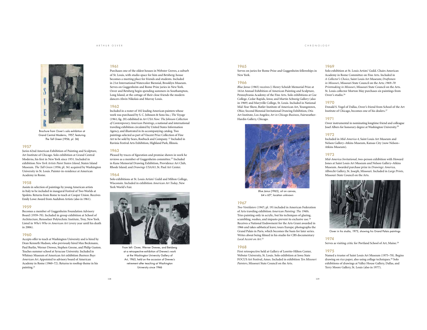ARTHUR OSVER



Brochure from Osver's solo exhibition at Grand Central Moderns, 1957, featuring *The Tall Green* (1956; pl. 36)

# 1957

Juries 62nd American Exhibition of Painting and Sculpture, Art Institute of Chicago. Solo exhibition at Grand Central Moderns, his first in New York since 1951. Included in exhibition *New York Artists Paint Staten Island*, Staten Island Museum. *The Tall Green* (1956; pl. 36) acquired by Washington University in St. Louis. Painter-in-residence at American Academy in Rome.

#### 1958

Assists in selection of paintings by young American artists in Italy to be included in inaugural Festival of Two Worlds at Spoleto. Returns from Rome to teach at Cooper Union. Receives Emily Lowe Award from Audubon Artists (also in 1961).

#### 1959

Becomes a member of Guggenheim Foundation Advisory Board (1959–70). Included in group exhibition at School of Architecture, Rensselaer Polytechnic Institute, Troy, New York. Listed in *Who's Who in American Art* (every year until his death  $in 2006$ 

#### 1960

Accepts offer to teach at Washington University and is hired by Dean Kenneth Hudson, who previously hired Max Beckmann, Paul Burlin, Werner Drewes, Stephen Greene, and Philip Guston. Teaches summer school at Syracuse University. Included in Whitney Museum of American Art exhibition *Business Buys American Art*. Appointed to advisory board of American Academy in Rome (1960–72). Returns to rooftop theme in his painting.21

# 1961

Purchases one of the oldest houses in Webster Groves, a suburb of St. Louis, with studio space for him and Betsberg; house becomes a meeting place for friends and students. Included in 21st International Watercolor Biennial, Brooklyn Museum. Serves on Guggenheim and Rome Prize juries in New York. Osver and Betsberg begin spending summers in Southampton, Long Island, at the cottage of their close friends the modern dancers Alwin Nikolais and Murray Louis.

#### 1962

Included in a roster of 102 leading American painters whose work was purchased by S. C. Johnson & Sons Inc.; *The Voyage* (1961; fig. 20) exhibited in *Art USA Now: The Johnson Collection of Contemporary American Paintings*, a national and international traveling exhibition circulated by United States Information Agency, and illustrated in its accompanying catalog. Two paintings selected as part of Vincent Price Collection of Fine Art to be sold by Sears, Roebuck and Company. 22 Included in Ravinia Festival Arts Exhibition, Highland Park, Illinois.

#### 1963

Pleased by traces of figuration and promise shown in work he reviews as a member of Guggenheim committee.23 Included in Kane Memorial Drawing Exhibition, Providence Art Club, Rhode Island; and *Drawings USA/63*, St. Paul Art Center.

#### 1964

Solo exhibitions at St. Louis Artists' Guild and Milton College, Wisconsin. Included in exhibition *American Art Today*, New York World's Fair.



at a retrospective exhibition of Drewes's work at the Washington University Gallery of Art, 1965, held on the occasion of Drewes's retirement after teaching at Washington University since 1946

#### 1965

Serves on juries for Rome Prize and Guggenheim fellowships in New York.

# 1966

*Blue Janus* (1965) receives J. Henry Scheidt Memorial Prize at 161st Annual Exhibition of American Painting and Sculpture, Pennsylvania Academy of the Fine Arts. Solo exhibitions at Coe College, Cedar Rapids, Iowa; and Martin Schweig Gallery (also in 1969) and Maryville College, St. Louis. Included in National Mid-Year Show, Butler Institute of American Art, Youngstown, Ohio; Second Biennial Invitational Drawing Exhibition, Otis Art Institute, Los Angeles; *Art in Chicago Business*, Fairweather-Hardin Gallery, Chicago.



*Blue Janus* (1965), oil on canvas, 64 x 65", location unknown

#### 1967

*Two Ventilators* (1947; pl. 19) included in American Federation of Arts traveling exhibition *American Painting: The 1940s*. Tries painting only in acrylic, but his techniques of glazing, scumbling, washes, and impasto prevent its exclusive use.<sup>24</sup> Receives a National Endowment for the Arts Grant awarded in 1966 and takes sabbatical leave; tours Europe; photographs the Grand Palais in Paris, which becomes the basis for later series. Writes about being filmed in his studio for CBS documentary *Local Accent on Art*. 25

#### 1968

First retrospective held at Gallery of Loretto-Hilton Center, Webster University, St. Louis. Solo exhibition at Iowa State FOCUS Art Festival, Ames. Included in exhibition *Ten Missouri Painters*, Missouri State Council on the Arts.

#### 1969

CHRONOLOGY

Solo exhibition at St. Louis Artists' Guild. Chairs American Academy in Rome Committee on Fine Arts. Included in *A Collector's Choice*, Saint Louis Art Museum; *Draftsmen in Missouri*, Missouri State Council on the Arts; *1969–70 Printmaking in Missouri*, Missouri State Council on the Arts. St. Louis collector Morton May purchases six paintings from Osver's studio.26

# 1970

Donald S. Vogel of Dallas, Osver's friend from School of the Art Institute of Chicago, becomes one of his dealers.27

## 1971

Osver instrumental in nominating longtime friend and colleague Josef Albers for honorary degree at Washington University.28

#### 1972

Included in *Mid-America 4*, Saint Louis Art Museum and Nelson Gallery–Atkins Museum, Kansas City (now Nelson– Atkins Museum).

#### 1973

*Mid-America Invitational*, two-person exhibition with Howard Jones at Saint Louis Art Museum and Nelson Gallery–Atkins Museum. Awarded purchase prize in *Drawings: America*, Albrecht Gallery, St. Joseph, Missouri. Included in *Large Prints*, Missouri State Council on the Arts.



Osver in his studio, 1973, showing his Grand Palais paintings

#### 1974 Serves as visiting critic for Portland School of Art, Maine.<sup>29</sup>

1975

Named a trustee of Saint Louis Art Museum (1975–78). Begins drawing on rice paper, also using collage techniques.<sup>30</sup> Solo exhibitions of drawings at Valley House Gallery, Dallas, and Terry Moore Gallery, St. Louis (also in 1977).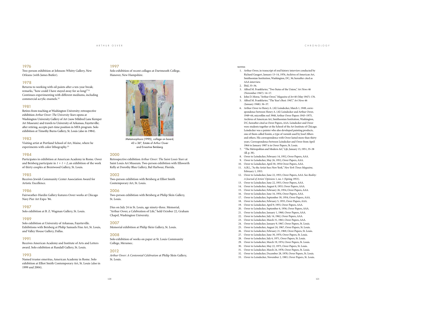# 1976

Two-person exhibition at Johnson-Whitty Gallery, New Orleans (with James Butler).

# 1978

Returns to working with oil paints after a ten-year break; remarks, "how could I have stayed away for so long!"31 Continues experimenting with different mediums, including commercial acrylic enamels.<sup>32</sup>

### 1981

Retires from teaching at Washington University; retrospective exhibition *Arthur Osver: The University Years* opens at Washington University Gallery of Art (now Mildred Lane Kemper Art Museum) and travels to University of Arkansas, Fayetteville; after retiring, accepts part-time position in MFA program. Solo exhibition at Timothy Burns Gallery, St. Louis (also in 1984).

# 1983

Visiting artist at Portland School of Art, Maine, where he experiments with color lithography.33

# 198 4

Participates in exhibition at American Academy in Rome. Osver and Betsberg participate in  $1 + 1 = 2$ , an exhibition of the work of thirty couples at Brentwood Gallery, St. Louis.

#### 1985

Receives Jewish Community Center Association Award for Artistic Excellence.

# 1986

Fairweather-Hardin Gallery features Osver works at Chicago Navy Pier Art Expo '86.

# 1987

Solo exhibition at B. Z. Wagman Gallery, St. Louis.

#### 1989

Solo exhibition at University of Arkansas, Fayetteville. Exhibitions with Betsberg at Philip Samuels Fine Art, St. Louis, and Valley House Gallery, Dallas.

#### 1991

Receives American Academy and Institute of Arts and Letters award. Solo exhibition at Randall Gallery, St. Louis.

### 1993

Named trustee emeritus, American Academy in Rome. Solo exhibition at Elliot Smith Contemporary Art, St. Louis (also in 1999 and 2004).

# 1997

Solo exhibition of recent collages at Dartmouth College, Hanover, New Hampshire.



*Metamorphosis* (1995), collage on board, 43 x 36", Estate of Arthur Osver and Ernestine Betsberg

# 2000

Retrospective exhibition *Arthur Osver: The Saint Louis Years* at Saint Louis Art Museum. Two-person exhibition with Ellsworth Kelly at Dorothy Blau Gallery, Bal Harbour, Florida.

# 2002

Two-person exhibition with Betsberg at Elliot Smith Contemporary Art, St. Louis.

# 2006

Two-person exhibition with Betsberg at Philip Slein Gallery, St. Louis.

Dies on July 24 in St. Louis, age ninety-three. Memorial, "Arthur Osver, a Celebration of Life," held October 22, Graham Chapel, Washington University.

# 2007

Memorial exhibition at Philip Slein Gallery, St. Louis.

# 2008

Solo exhibition of works on paper at St. Louis Community College, Meramec.

#### 2012

*Arthur Osver: A Centennial Celebration* at Philip Slein Gallery, St. Louis.

- notes
- 1. Arthur Osver, in transcript of oral history interview conducted by Richard Gaugert, January 13–14, 1976, Archives of American Art, Smithsonian Institution, Washington, DC, 36; hereafter cited as AAA interview.
- 2. Ibid, 35–36.
- 3. Alfred M. Frankfurter, "Two States of the Union," *Art News* 46 (November 1947): 14–17.
- 4. John D. Morse, "Arthur Osver," *Magazine of Art* 40 (May 1947): 176. 5. Alfred M. Frankfurter, "The Year's Best: 1947," *Art News* 46
- (January 1948): 36–37. 6. Arthur Osver to Henry A. (Al) Leindecker, March 1, 1949, corre-
- spondence between Henry A. (Al) Leindecker and Arthur Osver, 1949–64, microfilm reel 3948, Arthur Osver Papers 1943–1975, Archives of American Art, Smithsonian Institution, Washington, DC; hereafter cited as Osver Papers, AAA. Leindecker and Osver were students together at the School of the Art Institute of Chicago. Leindecker was a painter who also developed painting products, one of them called Eonite, a type of varnish used by Josef Albers and others. His correspondence with Osver lasted more than thirty years. Correspondence between Leindecker and Osver from April 1964 to January 1987 is in Osver Papers, St. Louis.
- 7. "The Metropolitan and Modern Art," *Life*, January 15, 1951, 35–38 (ill. p. 38).
- 8. Osver to Leindecker, February 14, 1952, Osver Papers, AAA.
- 9. Osver to Leindecker, May 26, 1952, Osver Papers, AAA.
- 10. Osver to Leindecker, April 30, 1954 Osver Papers, AAA. 11. A.B.L., "As the Artist Sees New York," *New York Times Magazine*, February 1, 1953.
- 12. Osver to Leindecker, June 22, 1953, Osver Papers, AAA. See *Reality: A Journal of Artists' Opinions* 1, no. 1 (Spring 1953).
- 13. Osver to Leindecker, June 22, 1953, Osver Papers, AAA.
- 14. Osver to Leindecker, August 8, 1953, Osver Papers, AAA.
- 15. Osver to Leindecker, February 26, 1954, Osver Papers, AAA.
- 16. Osver to Leindecker, June 16, 1954, Osver Papers, AAA. 17. Osver to Leindecker, September 30, 1954, Osver Papers, AAA.
- 18. Osver to Leindecker, February 5, 1955, Osver Papers, AAA.
- 19. Osver to Leindecker, April 9, 1955, Osver Papers, AAA.
- 20. Osver to Leindecker, September 6, 1956, Osver Papers, AAA.
- 21. Osver to Leindecker, January 1, 1960, Osver Papers, AAA.
- 22. Osver to Leindecker, July 14, 1962, Osver Papers, AAA.
- 23. Osver to Leindecker, March 31, 1963, Osver Papers, AAA.
- 24. Osver to Leindecker, January 9, 1967, Osver Papers, St. Louis.
- 25. Osver to Leindecker, August 24, 1967, Osver Papers, St. Louis.
- 26. Osver to Leindecker, February 21, 1969, Osver Papers, St. Louis.
- 27. Osver to Leindecker, June 30, 1970, Osver Papers, St. Louis.
- 28. Osver to Leindecker, July 6, 1971, Osver Papers, St. Louis.
- 29. Osver to Leindecker, March 19, 1974, Osver Papers, St. Louis.
- 30. Osver to Leindecker, May 22, 1975, Osver Papers, St. Louis. 31. Osver to Leindecker, March 24, 1978, Osver Papers, St. Louis.
- 32. Osver to Leindecker, December 28, 1978, Osver Papers, St. Louis.
- 33. Osver to Leindecker, November 2, 1983, Osver Papers, St. Louis.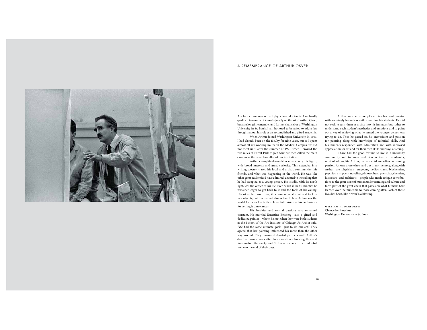# A REMEMBRANCE OF ARTHUR OSVER



As a former, and now retired, physician and scientist, I am hardly qualified to comment knowledgeably on the art of Arthur Osver, but as a longtime member and former chancellor of Washington University in St. Louis, I am honored to be asked to add a few thoughts about his role as an accomplished and gifted academic.

When Arthur joined Washington University in 1960, I had already been on the faculty for nine years, but as I spent almost all my working hours on the Medical Campus, we did not meet until after the summer of 1971, when I crossed the two miles of Forest Park to join what we then called the main campus as the new chancellor of our institution.

Arthur exemplified a model academic, very intelligent, with broad interests and great curiosity. This extended into writing, poetry, travel, his local and artistic communities, his friends, and what was happening in the world. He was, like other great academics I have admired, devoted to the calling that he had adopted as a young person. His studio, with its north light, was the center of his life. Even when ill in his nineties he remained eager to get back to it and the tools of his calling. His art evolved over time; it became more abstract and took in new objects, but it remained always true to how Arthur saw the world. He never lost faith in his artistic vision or his enthusiasm for getting it onto canvas.

His loyalties and central passions also remained constant. He married Ernestine Betsberg—also a gifted and dedicated painter—whom he met when they were both students at the School of the Art Institute of Chicago. As Arthur said, "We had the same ultimate goals—just to do our art." They agreed that her painting influenced his more than the other way around. They remained devoted partners until Arthur's death sixty-nine years after they joined their lives together, and Washington University and St. Louis remained their adopted home to the end of their days.

Arthur was an accomplished teacher and mentor with seemingly boundless enthusiasm for his students. He did not seek to turn them as artists into his imitators but rather to understand each student's aesthetics and emotions and to point out a way of achieving what he sensed the younger person was trying to do. Thus he passed on his enthusiasm and passion for painting along with knowledge of technical skills. And his students responded with admiration and with increased appreciation for art and for their own skills and ways of seeing.

I have had the good fortune to live in a university community and to know and observe talented academics, most of whom, like Arthur, had a special and often consuming passion. Among those who stand out in my memory, along with Arthur, are physicians, surgeons, pediatricians, biochemists, psychiatrists, poets, novelists, philosophers, physicists, chemists, historians, and architects—people who made unique contributions to the great store of human understanding and culture and form part of the great chain that passes on what humans have learned over the millennia to those coming after. Each of those lives has been, like Arthur's, a blessing.

**william h. danforth** Chancellor Emeritus Washington University in St. Louis